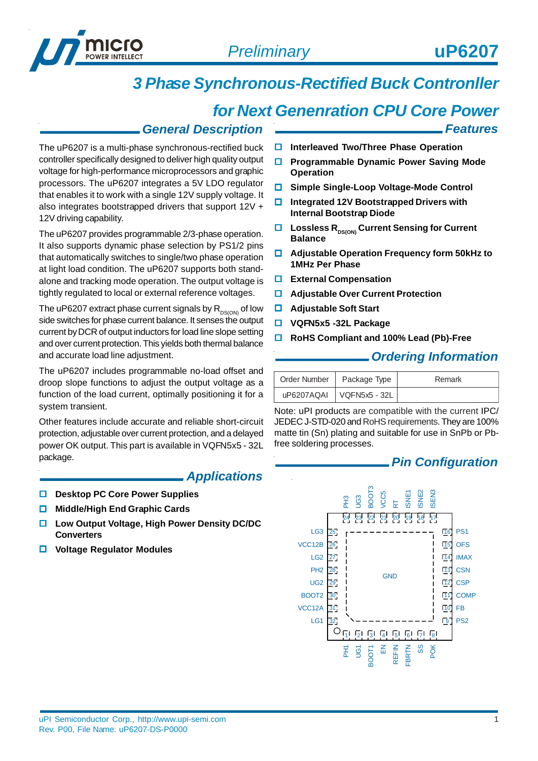

*Features*

# *3 Phase Synchronous-Rectified Buck Contronller*

## *for Next Genenration CPU Core Power*

#### *General Description*

The uP6207 is a multi-phase synchronous-rectified buck controller specifically designed to deliver high quality output voltage for high-performance microprocessors and graphic processors. The uP6207 integrates a 5V LDO regulator that enables it to work with a single 12V supply voltage. It also integrates bootstrapped drivers that support 12V + 12V driving capability.

The uP6207 provides programmable 2/3-phase operation. It also supports dynamic phase selection by PS1/2 pins that automatically switches to single/two phase operation at light load condition. The uP6207 supports both standalone and tracking mode operation. The output voltage is tightly regulated to local or external reference voltages.

The uP6207 extract phase current signals by  $R_{DS(ON)}$  of low side switches for phase current balance. It senses the output current by DCR of output inductors for load line slope setting and over current protection. This yields both thermal balance and accurate load line adjustment.

The uP6207 includes programmable no-load offset and droop slope functions to adjust the output voltage as a function of the load current, optimally positioning it for a system transient.

Other features include accurate and reliable short-circuit protection, adjustable over current protection, and a delayed power OK output. This part is available in VQFN5x5 - 32L package.

#### *Applications*

- **D** Desktop PC Core Power Supplies
- **Middle/High End Graphic Cards**
- **Low Output Voltage, High Power Density DC/DC Converters**
- **Voltage Regulator Modules**
- **Interleaved Two/Three Phase Operation**
- **Programmable Dynamic Power Saving Mode Operation**
- **Simple Single-Loop Voltage-Mode Control**
- **Integrated 12V Bootstrapped Drivers with Internal Bootstrap Diode**
- **■** Lossless R<sub>DS(ON)</sub> Current Sensing for Current **Balance**
- **Adjustable Operation Frequency form 50kHz to 1MHz Per Phase**
- **External Compensation**
- **Adjustable Over Current Protection**
- **Adjustable Soft Start**
- **VQFN5x5 -32L Package**
- **RoHS Compliant and 100% Lead (Pb)-Free**

#### *Ordering Information*

| Order Number   Package Type  | Remark |
|------------------------------|--------|
| uP6207AQAI   VQFN5x5 - 32L 1 |        |

Note: uPI products are compatible with the current IPC/ JEDEC J-STD-020 and RoHS requirements. They are 100% matte tin (Sn) plating and suitable for use in SnPb or Pbfree soldering processes.

#### *Pin Configuration*

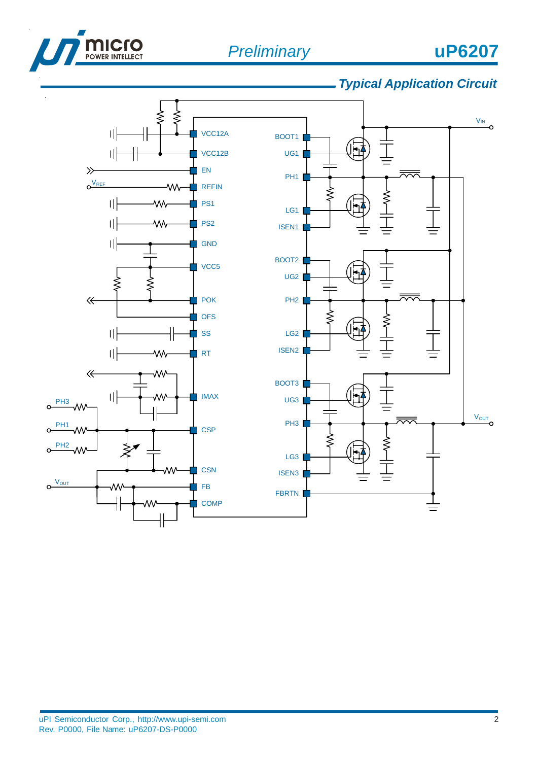



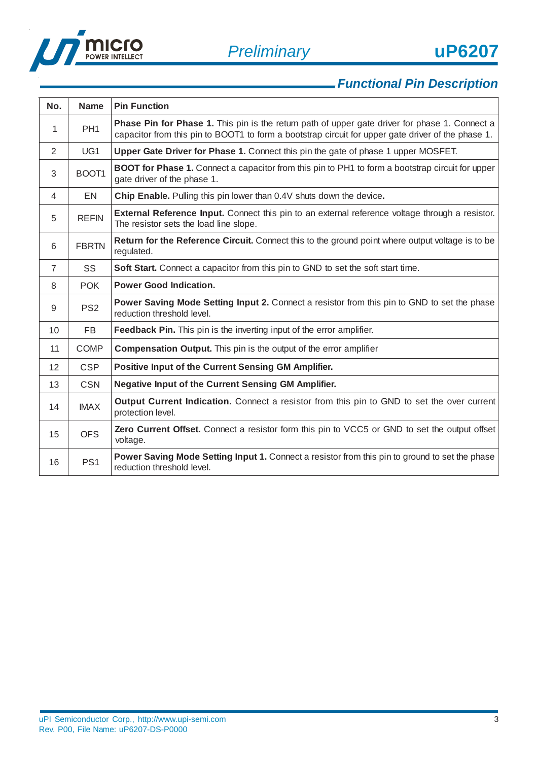



| No.            | <b>Name</b>     | <b>Pin Function</b>                                                                                                                                                                                         |
|----------------|-----------------|-------------------------------------------------------------------------------------------------------------------------------------------------------------------------------------------------------------|
| 1              | PH <sub>1</sub> | <b>Phase Pin for Phase 1.</b> This pin is the return path of upper gate driver for phase 1. Connect a<br>capacitor from this pin to BOOT1 to form a bootstrap circuit for upper gate driver of the phase 1. |
| 2              | UG1             | Upper Gate Driver for Phase 1. Connect this pin the gate of phase 1 upper MOSFET.                                                                                                                           |
| 3              | BOOT1           | <b>BOOT for Phase 1.</b> Connect a capacitor from this pin to PH1 to form a bootstrap circuit for upper<br>gate driver of the phase 1.                                                                      |
| 4              | EN              | Chip Enable. Pulling this pin lower than 0.4V shuts down the device.                                                                                                                                        |
| 5              | <b>REFIN</b>    | External Reference Input. Connect this pin to an external reference voltage through a resistor.<br>The resistor sets the load line slope.                                                                   |
| 6              | <b>FBRTN</b>    | Return for the Reference Circuit. Connect this to the ground point where output voltage is to be<br>regulated.                                                                                              |
| $\overline{7}$ | SS              | Soft Start. Connect a capacitor from this pin to GND to set the soft start time.                                                                                                                            |
| 8              | <b>POK</b>      | <b>Power Good Indication.</b>                                                                                                                                                                               |
| 9              | PS <sub>2</sub> | Power Saving Mode Setting Input 2. Connect a resistor from this pin to GND to set the phase<br>reduction threshold level.                                                                                   |
| 10             | <b>FB</b>       | Feedback Pin. This pin is the inverting input of the error amplifier.                                                                                                                                       |
| 11             | <b>COMP</b>     | <b>Compensation Output.</b> This pin is the output of the error amplifier                                                                                                                                   |
| 12             | <b>CSP</b>      | Positive Input of the Current Sensing GM Amplifier.                                                                                                                                                         |
| 13             | <b>CSN</b>      | <b>Negative Input of the Current Sensing GM Amplifier.</b>                                                                                                                                                  |
| 14             | <b>IMAX</b>     | <b>Output Current Indication.</b> Connect a resistor from this pin to GND to set the over current<br>protection level.                                                                                      |
| 15             | <b>OFS</b>      | Zero Current Offset. Connect a resistor form this pin to VCC5 or GND to set the output offset<br>voltage.                                                                                                   |
| 16             | PS <sub>1</sub> | Power Saving Mode Setting Input 1. Connect a resistor from this pin to ground to set the phase<br>reduction threshold level.                                                                                |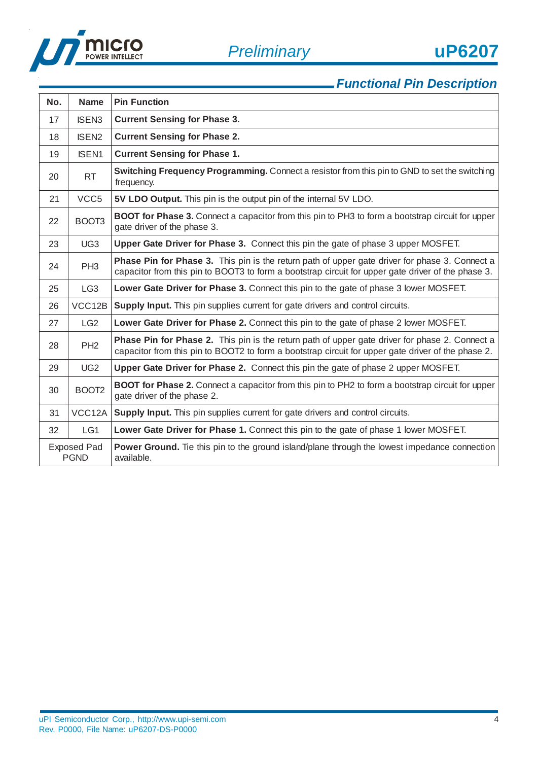

| No.                               | <b>Name</b>       | <b>Pin Function</b>                                                                                                                                                                                         |
|-----------------------------------|-------------------|-------------------------------------------------------------------------------------------------------------------------------------------------------------------------------------------------------------|
| 17                                | <b>ISEN3</b>      | <b>Current Sensing for Phase 3.</b>                                                                                                                                                                         |
| 18                                | <b>ISEN2</b>      | <b>Current Sensing for Phase 2.</b>                                                                                                                                                                         |
| 19                                | <b>ISEN1</b>      | <b>Current Sensing for Phase 1.</b>                                                                                                                                                                         |
| 20                                | <b>RT</b>         | Switching Frequency Programming. Connect a resistor from this pin to GND to set the switching<br>frequency.                                                                                                 |
| 21                                | VCC <sub>5</sub>  | 5V LDO Output. This pin is the output pin of the internal 5V LDO.                                                                                                                                           |
| 22                                | BOOT3             | <b>BOOT for Phase 3.</b> Connect a capacitor from this pin to PH3 to form a bootstrap circuit for upper<br>gate driver of the phase 3.                                                                      |
| 23                                | UG <sub>3</sub>   | Upper Gate Driver for Phase 3. Connect this pin the gate of phase 3 upper MOSFET.                                                                                                                           |
| 24                                | PH <sub>3</sub>   | <b>Phase Pin for Phase 3.</b> This pin is the return path of upper gate driver for phase 3. Connect a<br>capacitor from this pin to BOOT3 to form a bootstrap circuit for upper gate driver of the phase 3. |
| 25                                | LG <sub>3</sub>   | Lower Gate Driver for Phase 3. Connect this pin to the gate of phase 3 lower MOSFET.                                                                                                                        |
| 26                                | VCC12B            | Supply Input. This pin supplies current for gate drivers and control circuits.                                                                                                                              |
| 27                                | LG2               | Lower Gate Driver for Phase 2. Connect this pin to the gate of phase 2 lower MOSFET.                                                                                                                        |
| 28                                | PH <sub>2</sub>   | Phase Pin for Phase 2. This pin is the return path of upper gate driver for phase 2. Connect a<br>capacitor from this pin to BOOT2 to form a bootstrap circuit for upper gate driver of the phase 2.        |
| 29                                | UG <sub>2</sub>   | Upper Gate Driver for Phase 2. Connect this pin the gate of phase 2 upper MOSFET.                                                                                                                           |
| 30                                | BOOT <sub>2</sub> | <b>BOOT for Phase 2.</b> Connect a capacitor from this pin to PH2 to form a bootstrap circuit for upper<br>gate driver of the phase 2.                                                                      |
| 31                                | VCC12A            | <b>Supply Input.</b> This pin supplies current for gate drivers and control circuits.                                                                                                                       |
| 32                                | LG1               | Lower Gate Driver for Phase 1. Connect this pin to the gate of phase 1 lower MOSFET.                                                                                                                        |
| <b>Exposed Pad</b><br><b>PGND</b> |                   | Power Ground. Tie this pin to the ground island/plane through the lowest impedance connection<br>available.                                                                                                 |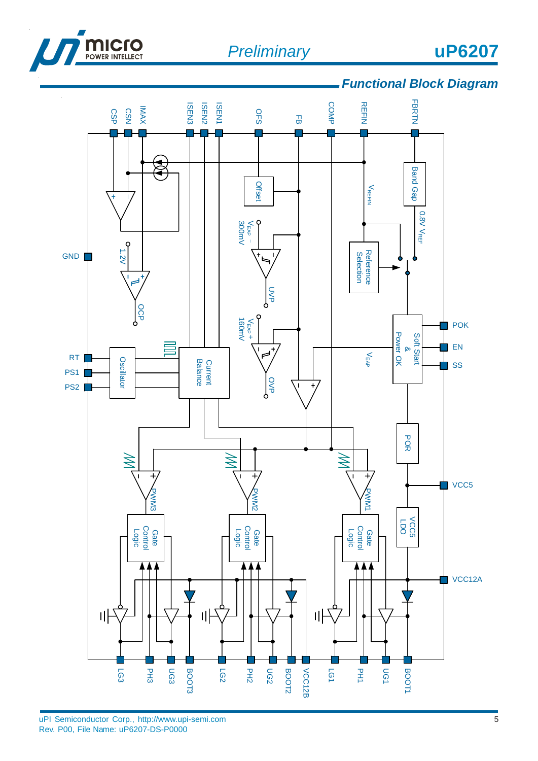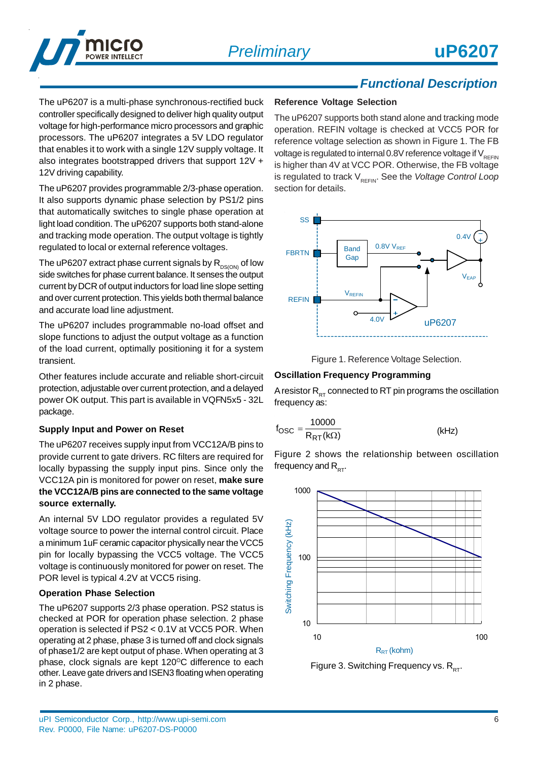

The uP6207 is a multi-phase synchronous-rectified buck controller specifically designed to deliver high quality output voltage for high-performance micro processors and graphic processors. The uP6207 integrates a 5V LDO regulator that enables it to work with a single 12V supply voltage. It also integrates bootstrapped drivers that support 12V + 12V driving capability.

The uP6207 provides programmable 2/3-phase operation. It also supports dynamic phase selection by PS1/2 pins that automatically switches to single phase operation at light load condition. The uP6207 supports both stand-alone and tracking mode operation. The output voltage is tightly regulated to local or external reference voltages.

The uP6207 extract phase current signals by  $R_{DS(ON)}$  of low side switches for phase current balance. It senses the output current by DCR of output inductors for load line slope setting and over current protection. This yields both thermal balance and accurate load line adjustment.

The uP6207 includes programmable no-load offset and slope functions to adjust the output voltage as a function of the load current, optimally positioning it for a system transient.

Other features include accurate and reliable short-circuit protection, adjustable over current protection, and a delayed power OK output. This part is available in VQFN5x5 - 32L package.

#### **Supply Input and Power on Reset**

The uP6207 receives supply input from VCC12A/B pins to provide current to gate drivers. RC filters are required for locally bypassing the supply input pins. Since only the VCC12A pin is monitored for power on reset, **make sure the VCC12A/B pins are connected to the same voltage source externally.**

An internal 5V LDO regulator provides a regulated 5V voltage source to power the internal control circuit. Place a minimum 1uF ceramic capacitor physically near the VCC5 pin for locally bypassing the VCC5 voltage. The VCC5 voltage is continuously monitored for power on reset. The POR level is typical 4.2V at VCC5 rising.

#### **Operation Phase Selection**

The uP6207 supports 2/3 phase operation. PS2 status is checked at POR for operation phase selection. 2 phase operation is selected if PS2 < 0.1V at VCC5 POR. When operating at 2 phase, phase 3 is turned off and clock signals of phase1/2 are kept output of phase. When operating at 3 phase, clock signals are kept 120°C difference to each other. Leave gate drivers and ISEN3 floating when operating in 2 phase.

#### **Reference Voltage Selection**

The uP6207 supports both stand alone and tracking mode operation. REFIN voltage is checked at VCC5 POR for reference voltage selection as shown in Figure 1. The FB voltage is regulated to internal 0.8V reference voltage if  $V_{R\in FIN}$ is higher than 4V at VCC POR. Otherwise, the FB voltage is regulated to track V<sub>REFIN</sub>. See the *Voltage Control Loop* section for details.



Figure 1. Reference Voltage Selection.

#### **Oscillation Frequency Programming**

A resistor  $R_{PT}$  connected to RT pin programs the oscillation frequency as:

$$
f_{\rm OSC} = \frac{10000}{R_{\rm RT}(k\Omega)}\tag{kHz}
$$

Figure 2 shows the relationship between oscillation frequency and  $R_{\text{err}}$ .



Figure 3. Switching Frequency vs.  $R_{DT}$ .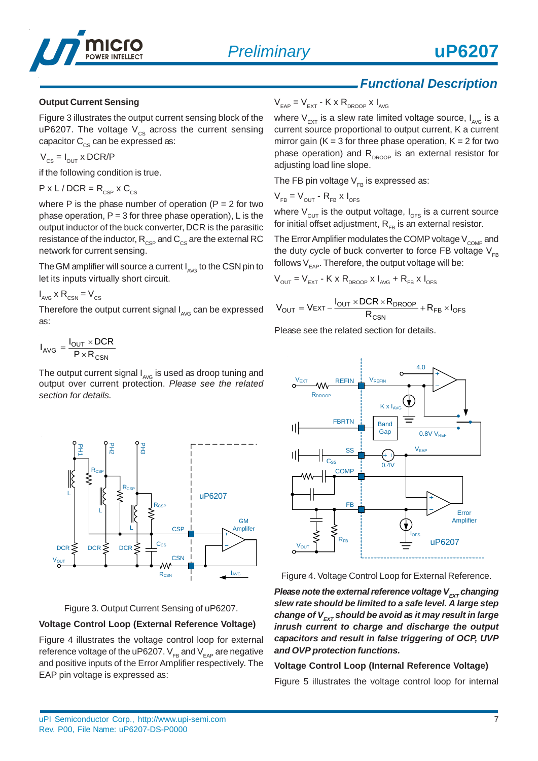

#### **Output Current Sensing**

Figure 3 illustrates the output current sensing block of the uP6207. The voltage  $V_{cs}$  across the current sensing capacitor  $C_{\text{cs}}$  can be expressed as:

$$
\text{V}_{\text{CS}} = \text{I}_{\text{OUT}} \times \text{DCR/P}
$$

if the following condition is true.

$$
P \times L / DCR = R_{CSP} \times C_{CS}
$$

where P is the phase number of operation ( $P = 2$  for two phase operation,  $P = 3$  for three phase operation), L is the output inductor of the buck converter, DCR is the parasitic resistance of the inductor,  $R_{CSP}$  and  $C_{CS}$  are the external RC network for current sensing.

The GM amplifier will source a current  $I_{A\vee G}$  to the CSN pin to let its inputs virtually short circuit.

$$
I_{AVG} \times R_{CSN} = V_{CS}
$$

Therefore the output current signal  $I_{AVG}$  can be expressed as:

$$
I_{AVG} = \frac{I_{OUT} \times DCR}{P \times R_{CSN}}
$$

The output current signal  $I_{A\vee G}$  is used as droop tuning and output over current protection. *Please see the related section for details.*





#### **Voltage Control Loop (External Reference Voltage)**

Figure 4 illustrates the voltage control loop for external reference voltage of the uP6207.  $V_{FB}$  and  $V_{EAP}$  are negative and positive inputs of the Error Amplifier respectively. The EAP pin voltage is expressed as:

 $V_{EAP} = V_{EXT} - K \times R_{DROOP} \times I_{AVG}$ 

where  $V_{\text{ext}}$  is a slew rate limited voltage source,  $I_{\text{avg}}$  is a current source proportional to output current, K a current mirror gain ( $K = 3$  for three phase operation,  $K = 2$  for two phase operation) and  $R_{DROOP}$  is an external resistor for adjusting load line slope.

The FB pin voltage  $V_{FB}$  is expressed as:

$$
V_{FB} = V_{OUT} - R_{FB} \times I_{OFS}
$$

where  $V_{OUT}$  is the output voltage,  $I_{OFF}$  is a current source for initial offset adjustment,  $R_{FB}$  is an external resistor.

The Error Amplifier modulates the COMP voltage  $V_{\text{COMP}}$  and the duty cycle of buck converter to force FB voltage  $V_{FB}$ follows  $V_{\text{max}}$ . Therefore, the output voltage will be:

$$
V_{\text{OUT}} = V_{\text{EXT}} - K \times R_{\text{DROOP}} \times I_{\text{AVG}} + R_{\text{FB}} \times I_{\text{OFS}}
$$

$$
V_{OUT} = V_{EXT} - \frac{I_{OUT} \times DCR \times R_{DROOP}}{R_{CSN}} + R_{FB} \times I_{OFS}
$$

Please see the related section for details.



Figure 4. Voltage Control Loop for External Reference.

*Please note the external reference voltage V<sub>FXT</sub> changing slew rate should be limited to a safe level. A large step* change of V<sub>EXT</sub> should be avoid as it may result in large *inrush current to charge and discharge the output capacitors and result in false triggering of OCP, UVP and OVP protection functions.*

#### **Voltage Control Loop (Internal Reference Voltage)**

Figure 5 illustrates the voltage control loop for internal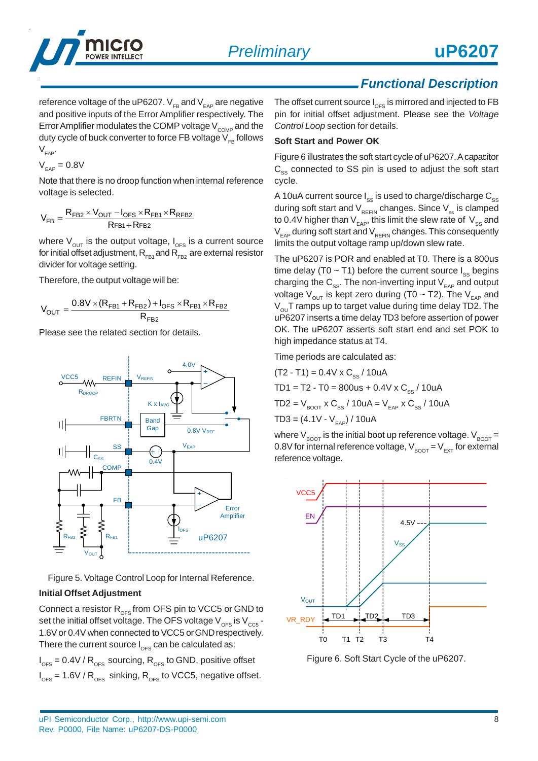

reference voltage of the uP6207.  $V_{FR}$  and  $V_{EAP}$  are negative and positive inputs of the Error Amplifier respectively. The Error Amplifier modulates the COMP voltage  $V_{\text{COMP}}$  and the duty cycle of buck converter to force FB voltage  $V_{FB}$  follows  $V_{FAP}$ 

$$
V_{_{EAP}}=0.8V
$$

Note that there is no droop function when internal reference voltage is selected.

$$
V_{FB}=\frac{R_{FB2}\times V_{OUT}-I_{OFS}\times R_{FB1}\times R_{RFB2}}{R_{FB1}+R_{FB2}}
$$

where  $V_{\text{out}}$  is the output voltage,  $I_{\text{OES}}$  is a current source for initial offset adjustment,  $R_{FB1}$  and  $R_{FB2}$  are external resistor divider for voltage setting.

Therefore, the output voltage will be:

$$
V_{OUT} = \frac{0.8V \times (R_{FB1}+R_{FB2})+I_{OFS} \times R_{FB1} \times R_{FB2}}{R_{FB2}}
$$

Please see the related section for details.



Figure 5. Voltage Control Loop for Internal Reference.

#### **Initial Offset Adjustment**

Connect a resistor  $R_{OFS}$  from OFS pin to VCC5 or GND to set the initial offset voltage. The OFS voltage  $V_{\text{OFS}}$  is  $V_{\text{CC5}}$  -1.6V or 0.4V when connected to VCC5 or GND respectively. There the current source  $I_{\text{OES}}$  can be calculated as:

 $I_{\text{OFS}}$  = 0.4V /  $R_{\text{OFS}}$  sourcing,  $R_{\text{OFS}}$  to GND, positive offset  $I_{\text{OFS}}$  = 1.6V /  $R_{\text{OFS}}$  sinking,  $R_{\text{OFS}}$  to VCC5, negative offset. The offset current source  $I_{\text{OFS}}$  is mirrored and injected to FB pin for initial offset adjustment. Please see the *Voltage Control Loop* section for details.

#### **Soft Start and Power OK**

Figure 6 illustrates the soft start cycle of uP6207. A capacitor  $C_{ss}$  connected to SS pin is used to adjust the soft start cycle.

A 10uA current source  $I_{ss}$  is used to charge/discharge  $C_{ss}$ during soft start and  $V_{REFIN}$  changes. Since  $V_{ss}$  is clamped to 0.4V higher than  $V_{EAP}$ , this limit the slew rate of  $V_{SS}$  and  $V_{EAP}$  during soft start and  $V_{REFIN}$  changes. This consequently limits the output voltage ramp up/down slew rate.

The uP6207 is POR and enabled at T0. There is a 800us time delay (T0  $\sim$  T1) before the current source  $I_{\text{ss}}$  begins charging the  $C_{\rm ss}$ . The non-inverting input  $V_{\rm FAP}$  and output voltage  $V_{\text{out}}$  is kept zero during (T0 ~ T2). The V<sub>EAP</sub> and  $V_{\text{out}}$ T ramps up to target value during time delay TD2. The uP6207 inserts a time delay TD3 before assertion of power OK. The uP6207 asserts soft start end and set POK to high impedance status at T4.

Time periods are calculated as:

$$
(T2 - T1) = 0.4V \times C_{ss} / 10uA
$$
  
TD1 = T2 - T0 = 800us + 0.4V x C<sub>ss</sub> / 10uA  
TD2 = V<sub>BoOT</sub> x C<sub>ss</sub> / 10uA = V<sub>EAP</sub> x C<sub>ss</sub> / 10uA  
TD3 = (4.1V - V<sub>EAP</sub>) / 10uA

where  $V_{\text{foot}}$  is the initial boot up reference voltage.  $V_{\text{foot}} =$ 0.8V for internal reference voltage,  $V_{\text{foot}} = V_{\text{ext}}$  for external reference voltage.



Figure 6. Soft Start Cycle of the uP6207.

uPI Semiconductor Corp., http://www.upi-semi.com Rev. P0000, File Name: uP6207-DS-P0000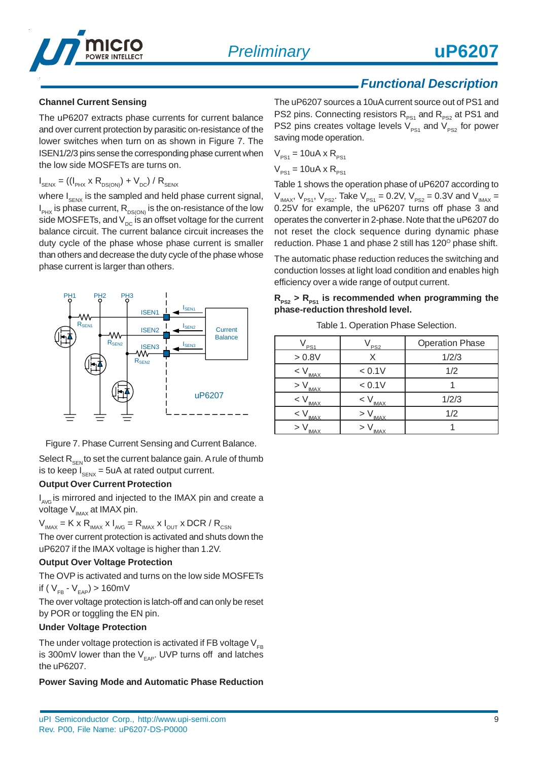

#### **Channel Current Sensing**

The uP6207 extracts phase currents for current balance and over current protection by parasitic on-resistance of the lower switches when turn on as shown in Figure 7. The ISEN1/2/3 pins sense the corresponding phase current when the low side MOSFETs are turns on.

#### $I_{\text{SENX}} = ((I_{\text{PK}} \times R_{\text{DS(ON)}}) + V_{\text{DC}}) / R_{\text{SENX}}$

where  $I_{SENX}$  is the sampled and held phase current signal,  $\mathsf{I}_{\mathsf{PK}}$  is phase current,  $\mathsf{R}_{\mathsf{DS(ON)}}$  is the on-resistance of the low side MOSFETs, and  $V_{\text{DC}}$  is an offset voltage for the current balance circuit. The current balance circuit increases the duty cycle of the phase whose phase current is smaller than others and decrease the duty cycle of the phase whose phase current is larger than others.



Figure 7. Phase Current Sensing and Current Balance.

Select  $R_{\text{SEN}}$  to set the current balance gain. A rule of thumb is to keep  $I_{\text{grav}} = 5$ uA at rated output current.

#### **Output Over Current Protection**

I<sub>AvG</sub> is mirrored and injected to the IMAX pin and create a voltage  $V_{\text{MAX}}$  at IMAX pin.

 $V_{\text{MAX}} = K \times R_{\text{MAX}} \times I_{\text{AVG}} = R_{\text{MAX}} \times I_{\text{OUT}} \times DCR / R_{\text{CSN}}$ 

The over current protection is activated and shuts down the uP6207 if the IMAX voltage is higher than 1.2V.

#### **Output Over Voltage Protection**

The OVP is activated and turns on the low side MOSFETs if ( $V_{FB} - V_{FAP}$ ) > 160mV

The over voltage protection is latch-off and can only be reset by POR or toggling the EN pin.

#### **Under Voltage Protection**

The under voltage protection is activated if FB voltage  $V_{FB}$ is 300mV lower than the  $V_{FAP}$ . UVP turns off and latches the uP6207.

#### **Power Saving Mode and Automatic Phase Reduction**

The uP6207 sources a 10uA current source out of PS1 and PS2 pins. Connecting resistors  $R_{p_{s1}}$  and  $R_{p_{s2}}$  at PS1 and PS2 pins creates voltage levels  $V_{PS1}$  and  $V_{PS2}$  for power saving mode operation.

$$
V_{PS1} = 10uA \times R_{PS1}
$$

 $V_{\text{per}} = 10uA \times R_{\text{per}}$ 

Table 1 shows the operation phase of uP6207 according to  $V_{_{IMAX}}$ ,  $V_{_{PS1}}$ ,  $V_{_{PS2}}$ . Take  $V_{_{PS1}}$  = 0.2V,  $V_{_{PS2}}$  = 0.3V and  $V_{_{IMAX}}$  = 0.25V for example, the uP6207 turns off phase 3 and operates the converter in 2-phase. Note that the uP6207 do not reset the clock sequence during dynamic phase reduction. Phase 1 and phase 2 still has 120° phase shift.

The automatic phase reduction reduces the switching and conduction losses at light load condition and enables high efficiency over a wide range of output current.

|  |  |  |                                  | $R_{PS2}$ > $R_{PS1}$ is recommended when programming the |  |
|--|--|--|----------------------------------|-----------------------------------------------------------|--|
|  |  |  | phase-reduction threshold level. |                                                           |  |

Table 1. Operation Phase Selection.

| PS <sub>1</sub>           | PS <sub>2</sub>    | <b>Operation Phase</b> |
|---------------------------|--------------------|------------------------|
| > 0.8V                    |                    | 1/2/3                  |
| $<$ $\lor$<br><b>IMAX</b> | < 0.1V             | 1/2                    |
| > V<br><b>IMAX</b>        | < 0.1V             |                        |
| $<$ $\vee$<br><b>IMAX</b> | $< V_{\text{MAX}}$ | 1/2/3                  |
| < V<br><b>IMAX</b>        | <b>IMAX</b>        | 1/2                    |
| > V<br>MAX                | <b>IMA</b>         |                        |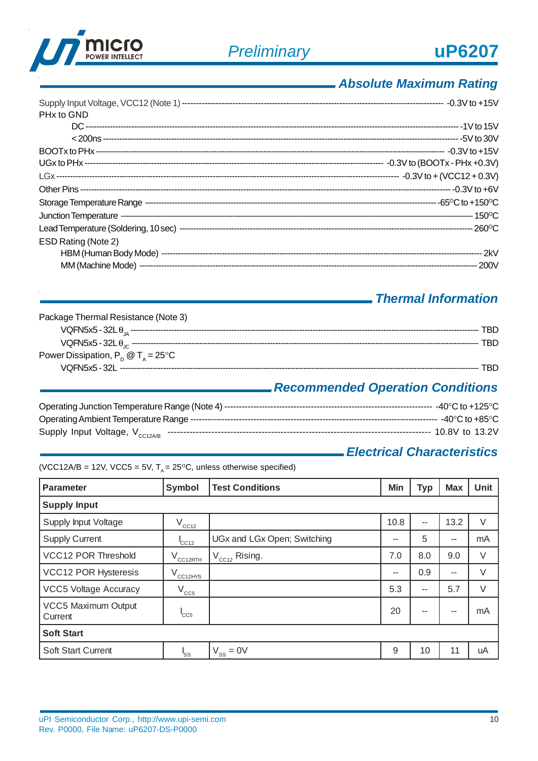



## *Absolute Maximum Rating*

| PHx to GND          |  |
|---------------------|--|
|                     |  |
|                     |  |
|                     |  |
|                     |  |
|                     |  |
|                     |  |
|                     |  |
|                     |  |
|                     |  |
| ESD Rating (Note 2) |  |
|                     |  |
|                     |  |

### *Thermal Information*

| Package Thermal Resistance (Note 3)         |     |
|---------------------------------------------|-----|
|                                             | TRD |
|                                             | TRD |
| Power Dissipation, $P_p @ T_a = 25^\circ C$ |     |
|                                             | TRD |

## *Recommended Operation Conditions*

### *Electrical Characteristics*

(VCC12A/B = 12V, VCC5 = 5V,  $T_A$  = 25°C, unless otherwise specified)

| <b>Parameter</b>               | Symbol                | <b>Test Conditions</b>      | Min  | <b>Typ</b> | <b>Max</b> | Unit   |  |  |
|--------------------------------|-----------------------|-----------------------------|------|------------|------------|--------|--|--|
| <b>Supply Input</b>            |                       |                             |      |            |            |        |  |  |
| Supply Input Voltage           | $V_{CC12}$            |                             | 10.8 | --         | 13.2       | $\vee$ |  |  |
| <b>Supply Current</b>          | C <sub>C12</sub>      | UGx and LGx Open; Switching | --   | 5          | --         | mA     |  |  |
| <b>VCC12 POR Threshold</b>     | $\rm V_{\rm CC12RTH}$ | $V_{CC12}$ Rising.          | 7.0  | 8.0        | 9.0        | $\vee$ |  |  |
| <b>VCC12 POR Hysteresis</b>    | $V_{\rm CC12HYS}$     |                             | --   | 0.9        | --         | V      |  |  |
| <b>VCC5 Voltage Accuracy</b>   | $V_{CC5}$             |                             | 5.3  | $-$        | 5.7        | $\vee$ |  |  |
| VCC5 Maximum Output<br>Current | $1CC5$                |                             | 20   | --         | --         | mA     |  |  |
| <b>Soft Start</b>              |                       |                             |      |            |            |        |  |  |
| <b>Soft Start Current</b>      | l <sub>SS</sub>       | $V_{ss} = 0V$               | 9    | 10         | 11         | uA     |  |  |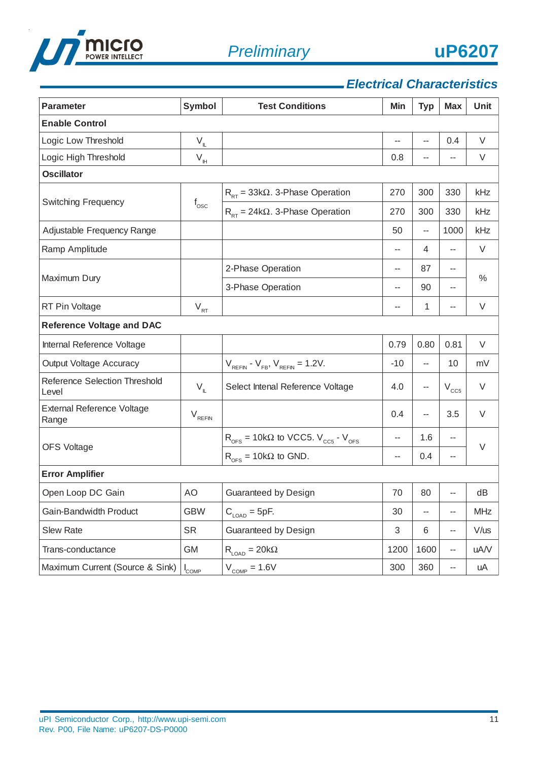



## *Electrical Characteristics*

| <b>Parameter</b>                              | Symbol                    | <b>Test Conditions</b>                                                       | Min                      | <b>Typ</b>               | <b>Max</b>               | <b>Unit</b> |  |  |
|-----------------------------------------------|---------------------------|------------------------------------------------------------------------------|--------------------------|--------------------------|--------------------------|-------------|--|--|
| <b>Enable Control</b>                         |                           |                                                                              |                          |                          |                          |             |  |  |
| Logic Low Threshold                           | $\mathsf{V}_{\mathsf{L}}$ |                                                                              | $\overline{\phantom{a}}$ | $\overline{\phantom{a}}$ | 0.4                      | V           |  |  |
| Logic High Threshold                          | $\mathsf{V}_{\mathsf{H}}$ |                                                                              | 0.8                      |                          | $\overline{a}$           | V           |  |  |
| <b>Oscillator</b>                             |                           |                                                                              |                          |                          |                          |             |  |  |
| <b>Switching Frequency</b>                    |                           | $R_{RT}$ = 33k $\Omega$ . 3-Phase Operation                                  | 270                      | 300                      | 330                      | kHz         |  |  |
|                                               | $\rm f_{\rm osc}$         | $R_{RT}$ = 24k $\Omega$ . 3-Phase Operation                                  | 270                      | 300                      | 330                      | kHz         |  |  |
| Adjustable Frequency Range                    |                           |                                                                              | 50                       | --                       | 1000                     | kHz         |  |  |
| Ramp Amplitude                                |                           |                                                                              | --                       | 4                        | --                       | $\vee$      |  |  |
|                                               |                           | 2-Phase Operation                                                            | --                       | 87                       | --                       |             |  |  |
| Maximum Dury                                  |                           | 3-Phase Operation                                                            | --                       | 90                       | --                       | $\%$        |  |  |
| RT Pin Voltage                                | $V_{RT}$                  |                                                                              | --                       | 1                        | --                       | $\vee$      |  |  |
| <b>Reference Voltage and DAC</b>              |                           |                                                                              |                          |                          |                          |             |  |  |
| Internal Reference Voltage                    |                           |                                                                              | 0.79                     | 0.80                     | 0.81                     | V           |  |  |
| <b>Output Voltage Accuracy</b>                |                           | $V_{REFIN} - V_{FB}$ , $V_{REFIN} = 1.2V$ .                                  | $-10$                    | $\overline{a}$           | 10                       | mV          |  |  |
| <b>Reference Selection Threshold</b><br>Level | $V_{\mathbb{L}}$          | Select Intenal Reference Voltage                                             | 4.0                      | --                       | $V_{CC5}$                | V           |  |  |
| <b>External Reference Voltage</b><br>Range    | $V_{REFIN}$               |                                                                              | 0.4                      | --                       | 3.5                      | $\vee$      |  |  |
|                                               |                           | $R_{\text{OFS}}$ = 10k $\Omega$ to VCC5. $V_{\text{CC5}}$ - $V_{\text{OFS}}$ | $\overline{a}$           | 1.6                      | $\overline{\phantom{a}}$ | $\vee$      |  |  |
| <b>OFS Voltage</b>                            |                           | $R_{\text{OFS}} = 10k\Omega$ to GND.                                         | --                       | 0.4                      | --                       |             |  |  |
| <b>Error Amplifier</b>                        |                           |                                                                              |                          |                          |                          |             |  |  |
| Open Loop DC Gain                             | AO                        | Guaranteed by Design                                                         | 70                       | 80                       | $\overline{a}$           | dB          |  |  |
| Gain-Bandwidth Product                        | <b>GBW</b>                | $C_{\text{LOAD}} = 5pF.$                                                     | 30                       | --                       | --                       | <b>MHz</b>  |  |  |
| <b>Slew Rate</b>                              | <b>SR</b>                 | Guaranteed by Design                                                         | $\sqrt{3}$               | 6                        | --                       | $V/$ us     |  |  |
| Trans-conductance                             | GM                        | $R_{\text{LOAD}} = 20k\Omega$                                                | 1200                     | 1600                     | $- -$                    | uA/V        |  |  |
| Maximum Current (Source & Sink)               | $I_{\text{COMP}}$         | $V_{\text{COMP}} = 1.6V$                                                     | 300                      | 360                      | 44                       | uA          |  |  |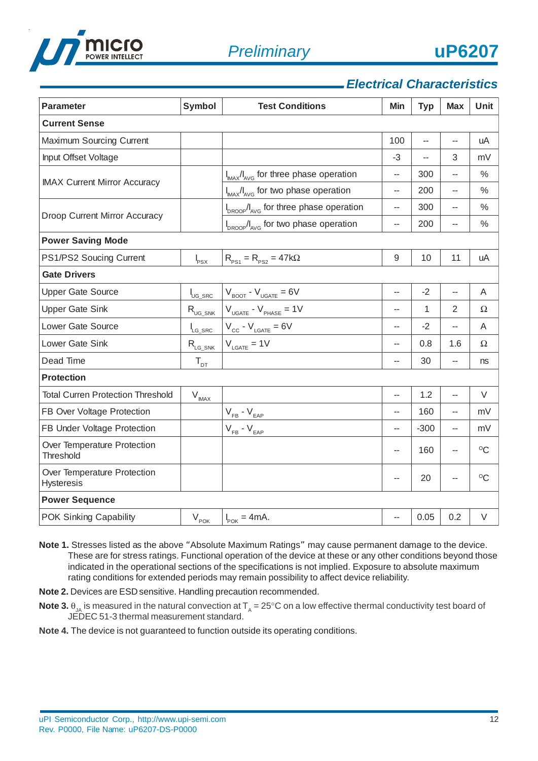

### *Electrical Characteristics*

| <b>Parameter</b>                                 | <b>Symbol</b>                      | <b>Test Conditions</b>                                         | Min                      | <b>Typ</b> | <b>Max</b>     | Unit          |
|--------------------------------------------------|------------------------------------|----------------------------------------------------------------|--------------------------|------------|----------------|---------------|
| <b>Current Sense</b>                             |                                    |                                                                |                          |            |                |               |
| Maximum Sourcing Current                         |                                    |                                                                | 100                      | --         | --             | uA            |
| Input Offset Voltage                             |                                    |                                                                | $-3$                     |            | 3              | mV            |
| <b>IMAX Current Mirror Accuracy</b>              |                                    | $I_{MAX}/I_{AVG}$ for three phase operation                    | --                       | 300        | --             | $\frac{0}{0}$ |
|                                                  |                                    | I <sub>MAX</sub> /I <sub>AVG</sub> for two phase operation     | $-$                      | 200        |                | $\%$          |
| Droop Current Mirror Accuracy                    |                                    | I <sub>DROOP</sub> /I <sub>AVG</sub> for three phase operation | $\overline{\phantom{a}}$ | 300        | --             | $\frac{0}{0}$ |
|                                                  |                                    | I <sub>DROOP</sub> /I <sub>AVG</sub> for two phase operation   | $\overline{\phantom{a}}$ | 200        | --             | $\%$          |
| <b>Power Saving Mode</b>                         |                                    |                                                                |                          |            |                |               |
| PS1/PS2 Soucing Current                          | $\mathsf{I}_{\mathsf{PSX}}$        | $R_{PS1} = R_{PS2} = 47k\Omega$                                | 9                        | 10         | 11             | uA            |
| <b>Gate Drivers</b>                              |                                    |                                                                |                          |            |                |               |
| <b>Upper Gate Source</b>                         | I <sub>UG_SRC</sub>                | $V_{\text{BOOT}}$ - $V_{\text{UGATE}} = 6V$                    | $-$                      | $-2$       | --             | A             |
| <b>Upper Gate Sink</b>                           | $\bm{\mathsf{R}}_\mathsf{UG\_SNK}$ | $V_{UGATE} - V_{PHASE} = 1V$                                   | $-$                      | 1          | $\overline{2}$ | Ω             |
| Lower Gate Source                                | $I_{LG\_SRC}$                      | $V_{cc}$ - $V_{LGATE}$ = 6V                                    | $\overline{\phantom{a}}$ | $-2$       | -−             | A             |
| Lower Gate Sink                                  | $R_{LG\_SNK}$                      | $V_{LGATE} = 1V$                                               | --                       | 0.8        | 1.6            | Ω             |
| Dead Time                                        | $T_{DT}$                           |                                                                | $-$                      | 30         | -−             | ns            |
| <b>Protection</b>                                |                                    |                                                                |                          |            |                |               |
| <b>Total Curren Protection Threshold</b>         | $V_{IM\underline{AX}}$             |                                                                | $-$                      | 1.2        | Ξ.             | V             |
| FB Over Voltage Protection                       |                                    | $V_{FB}$ - $V_{EAP}$                                           | --                       | 160        | --             | mV            |
| FB Under Voltage Protection                      |                                    | $V_{FB} - V_{EAP}$                                             | --                       | $-300$     | --             | mV            |
| Over Temperature Protection<br>Threshold         |                                    |                                                                | --                       | 160        | --             | $\rm ^{O}C$   |
| Over Temperature Protection<br><b>Hysteresis</b> |                                    |                                                                | $-$                      | 20         | --             | $\rm ^{O}C$   |
| <b>Power Sequence</b>                            |                                    |                                                                |                          |            |                |               |
| POK Sinking Capability                           | $\mathsf{V}_{\mathsf{POK}_-}$      | $ I_{\text{pOK}} = 4 \text{mA}.$                               | --                       | 0.05       | 0.2            | V             |

- **Note 1.** Stresses listed as the above "Absolute Maximum Ratings" may cause permanent damage to the device. These are for stress ratings. Functional operation of the device at these or any other conditions beyond those indicated in the operational sections of the specifications is not implied. Exposure to absolute maximum rating conditions for extended periods may remain possibility to affect device reliability.
- **Note 2.** Devices are ESD sensitive. Handling precaution recommended.
- **Note 3.**  $\theta_{JA}$  is measured in the natural convection at  $T_A = 25^{\circ}C$  on a low effective thermal conductivity test board of JEDEC 51-3 thermal measurement standard.
- **Note 4.** The device is not guaranteed to function outside its operating conditions.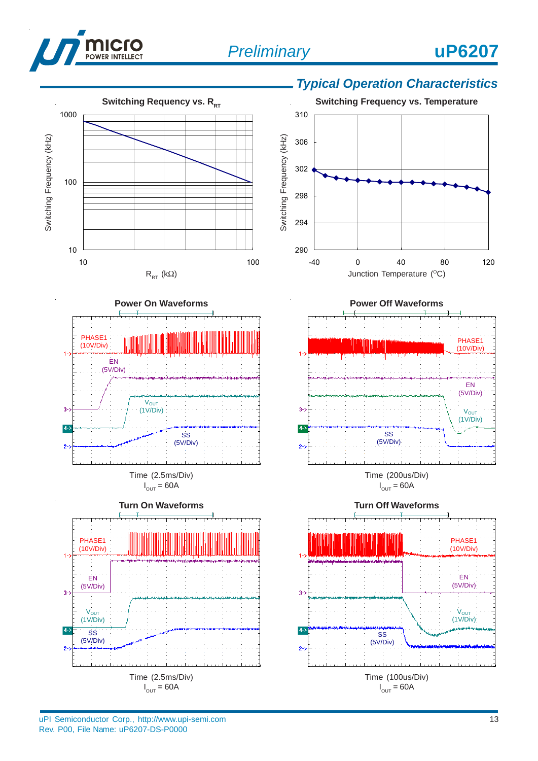







 $I_{\text{OUT}} = 60A$ 









 $I_{\text{OUT}} = 60A$ 



uPI Semiconductor Corp., http://www.upi-semi.com Rev. P00, File Name: uP6207-DS-P0000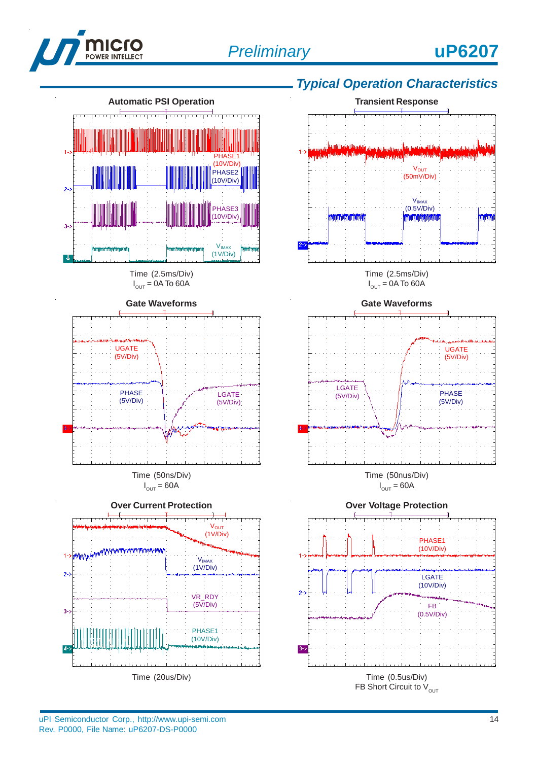



## *Typical Operation Characteristics*



Time (20us/Div)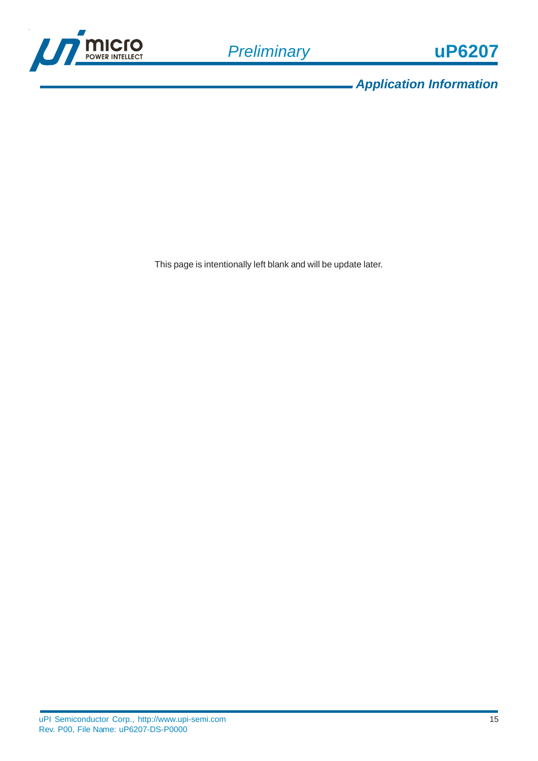

*Application Information*

This page is intentionally left blank and will be update later.